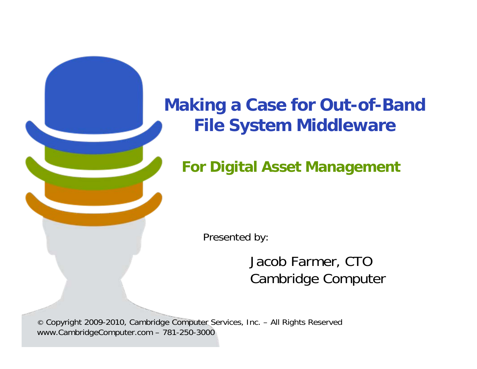# **Making a Case for Out-of-Band File System Middleware**

### **For Digital Asset Management**

Presented by:

Jacob Farmer, CTO Cambridge Computer

© Copyright 2009-2010, Cambridge Computer Services, Inc. – All Rights Reserved www.CambridgeComputer.com – 781-250-3000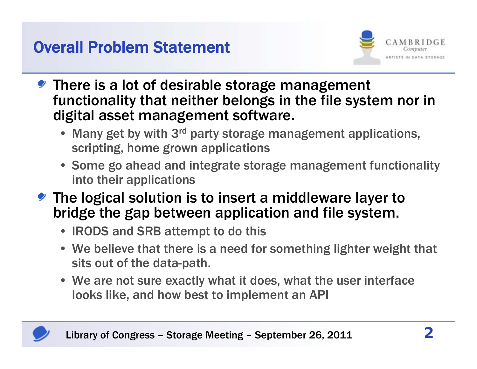### Overall Problem Statement



- There is a lot of desirable storage management functionality that neither belongs in the file system nor in digital asset management software.
	- Many get by with 3<sup>rd</sup> party storage management applications, scripting, home grown applications
	- Some go ahead and integrate storage management functionality into their applications
- The logical solution is to insert a middleware layer to bridge the gap between application and file system.
	- IRODS and SRB attempt to do this
	- We believe that there is a need for something lighter weight that sits out of the data-path.
	- We are not sure exactly what it does, what the user interface looks like, and how best to implement an API

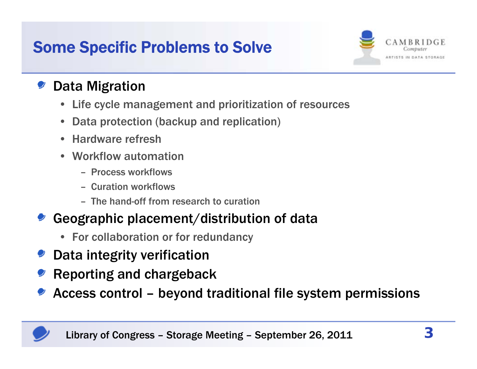# Some Specific Problems to Solve



### Data Migration

- •Life cycle management and prioritization of resources
- •Data protection (backup and replication)
- Hardware refresh
- Workflow automation
	- Process workflows
	- Curation workflows
	- The hand-off from research to curation

### Geographic placement/distribution of data

- For collaboration or for redundancy
- Data integrity verification
- Reporting and chargeback
- Access control beyond traditional file system permissions

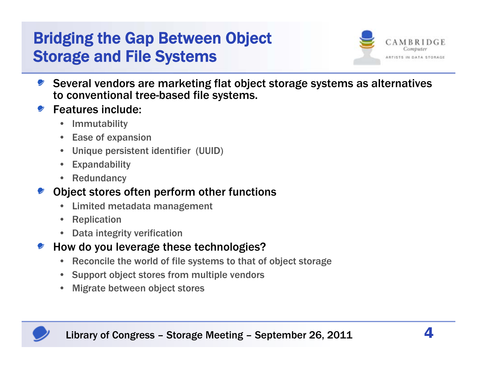# Bridging the Gap Between Object Storage and File Systems



- Several vendors are marketing flat object storage systems as alternatives to conventional tree-based file systems.
- Features include:
	- •Immutability
	- •Ease of expansion
	- Unique persistent identifier (UUID)
	- Expandability
	- Redundancy

#### Object stores often perform other functions

- $\bullet$ Limited metadata management
- •Replication
- •Data integrity verification
- How do you leverage these technologies?
	- $\bullet$ Reconcile the world of file systems to that of object storage
	- Support object stores from multiple vendors
	- •Migrate between object stores

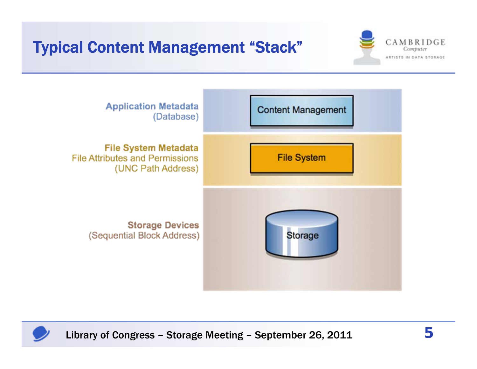# Typical Content Management "Stack"





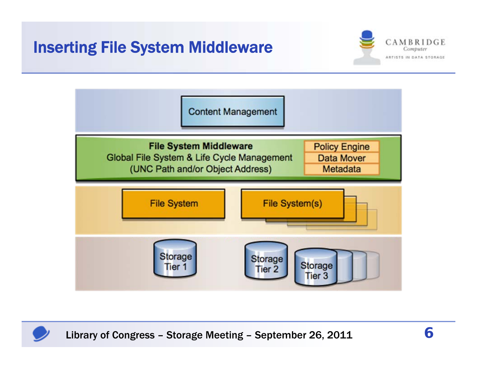### Inserting File System Middleware





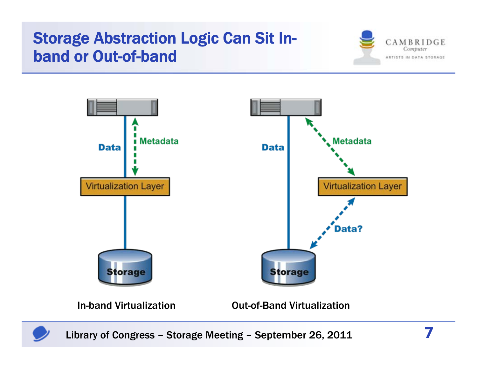### Storage Abstraction Logic Can Sit Inband or Out-of-band







Library of Congress – Storage Meeting – September 26, 2011 **7**